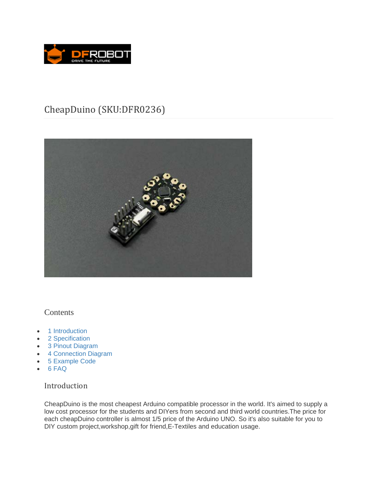

# CheapDuino (SKU:DFR0236)



# **Contents**

- 1 Introduction
- 2 Specification
- 3 Pinout Diagram
- 4 Connection Diagram
- 5 Example Code
- 6 FAQ

# Introduction

CheapDuino is the most cheapest Arduino compatible processor in the world. It's aimed to supply a low cost processor for the students and DIYers from second and third world countries.The price for each cheapDuino controller is almost 1/5 price of the Arduino UNO. So it's also suitable for you to DIY custom project,workshop,gift for friend,E-Textiles and education usage.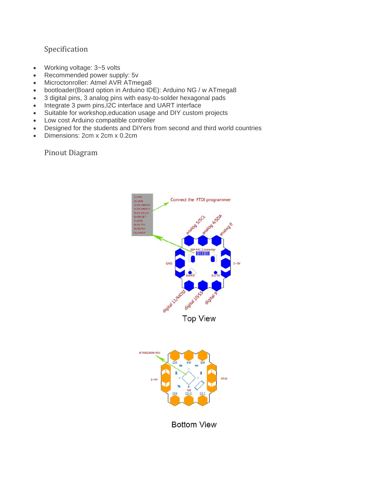# Specification

- Working voltage: 3~5 volts
- Recommended power supply: 5v
- Microctonroller: Atmel AVR ATmega8
- bootloader(Board option in Arduino IDE): Arduino NG / w ATmega8
- 3 digital pins, 3 analog pins with easy-to-solder hexagonal pads
- Integrate 3 pwm pins, I2C interface and UART interface
- Suitable for workshop,education usage and DIY custom projects
- Low cost Arduino compatible controller
- Designed for the students and DIYers from second and third world countries
- Dimensions: 2cm x 2cm x 0.2cm

Pinout Diagram





**Bottom View**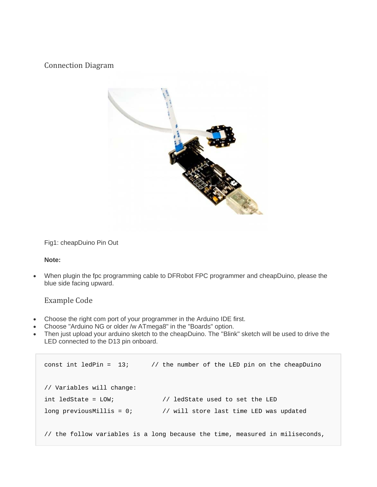## Connection Diagram



Fig1: cheapDuino Pin Out

#### **Note:**

 When plugin the fpc programming cable to DFRobot FPC programmer and cheapDuino, please the blue side facing upward.

### Example Code

- Choose the right com port of your programmer in the Arduino IDE first.
- Choose "Arduino NG or older /w ATmega8" in the "Boards" option.
- Then just upload your arduino sketch to the cheapDuino. The "Blink" sketch will be used to drive the LED connected to the D13 pin onboard.

```
const int ledPin = 13; \frac{1}{2} the number of the LED pin on the cheapDuino
// Variables will change: 
int ledState = LOW; // ledState used to set the LED 
long previousMillis = 0; \frac{1}{1} will store last time LED was updated
// the follow variables is a long because the time, measured in miliseconds,
```